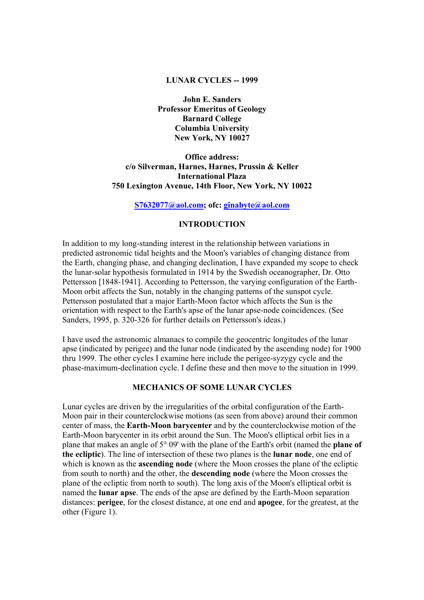### **LUNAR CYCLES -- 1999**

**John E. Sanders Professor Emeritus of Geology Barnard College Columbia University New York, NY 10027** 

**Office address: c/o Silverman, Harnes, Harnes, Prussin & Keller International Plaza 750 Lexington Avenue, 14th Floor, New York, NY 10022** 

**S7632077@aol.com; ofc: ginabyte@aol.com**

## **INTRODUCTION**

In addition to my long-standing interest in the relationship between variations in predicted astronomic tidal heights and the Moon's variables of changing distance from the Earth, changing phase, and changing declination, I have expanded my scope to check the lunar-solar hypothesis formulated in 1914 by the Swedish oceanographer, Dr. Otto Pettersson [1848-1941]. According to Pettersson, the varying configuration of the Earth-Moon orbit affects the Sun, notably in the changing patterns of the sunspot cycle. Pettersson postulated that a major Earth-Moon factor which affects the Sun is the orientation with respect to the Earth's apse of the lunar apse-node coincidences. (See Sanders, 1995, p. 320-326 for further details on Pettersson's ideas.)

I have used the astronomic almanacs to compile the geocentric longitudes of the lunar apse (indicated by perigee) and the lunar node (indicated by the ascending node) for 1900 thru 1999. The other cycles I examine here include the perigee-syzygy cycle and the phase-maximum-declination cycle. I define these and then move to the situation in 1999.

## **MECHANICS OF SOME LUNAR CYCLES**

Lunar cycles are driven by the irregularities of the orbital configuration of the Earth-Moon pair in their counterclockwise motions (as seen from above) around their common center of mass, the **Earth-Moon barycenter** and by the counterclockwise motion of the Earth-Moon barycenter in its orbit around the Sun. The Moon's elliptical orbit lies in a plane that makes an angle of 5° 09' with the plane of the Earth's orbit (named the **plane of the ecliptic**). The line of intersection of these two planes is the **lunar node**, one end of which is known as the **ascending node** (where the Moon crosses the plane of the ecliptic from south to north) and the other, the **descending node** (where the Moon crosses the plane of the ecliptic from north to south). The long axis of the Moon's elliptical orbit is named the **lunar apse**. The ends of the apse are defined by the Earth-Moon separation distances: **perigee**, for the closest distance, at one end and **apogee**, for the greatest, at the other (Figure 1).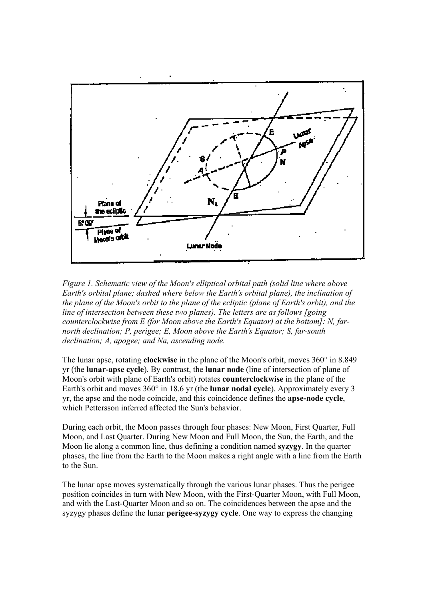

*Figure 1. Schematic view of the Moon's elliptical orbital path (solid line where above Earth's orbital plane; dashed where below the Earth's orbital plane), the inclination of the plane of the Moon's orbit to the plane of the ecliptic (plane of Earth's orbit), and the line of intersection between these two planes). The letters are as follows [going counterclockwise from E (for Moon above the Earth's Equator) at the bottom]: N, farnorth declination; P, perigee; E, Moon above the Earth's Equator; S, far-south declination; A, apogee; and Na, ascending node.*

The lunar apse, rotating **clockwise** in the plane of the Moon's orbit, moves 360° in 8.849 yr (the **lunar-apse cycle**). By contrast, the **lunar node** (line of intersection of plane of Moon's orbit with plane of Earth's orbit) rotates **counterclockwise** in the plane of the Earth's orbit and moves 360° in 18.6 yr (the **lunar nodal cycle**). Approximately every 3 yr, the apse and the node coincide, and this coincidence defines the **apse-node cycle**, which Pettersson inferred affected the Sun's behavior.

During each orbit, the Moon passes through four phases: New Moon, First Quarter, Full Moon, and Last Quarter. During New Moon and Full Moon, the Sun, the Earth, and the Moon lie along a common line, thus defining a condition named **syzygy**. In the quarter phases, the line from the Earth to the Moon makes a right angle with a line from the Earth to the Sun.

The lunar apse moves systematically through the various lunar phases. Thus the perigee position coincides in turn with New Moon, with the First-Quarter Moon, with Full Moon, and with the Last-Quarter Moon and so on. The coincidences between the apse and the syzygy phases define the lunar **perigee-syzygy cycle**. One way to express the changing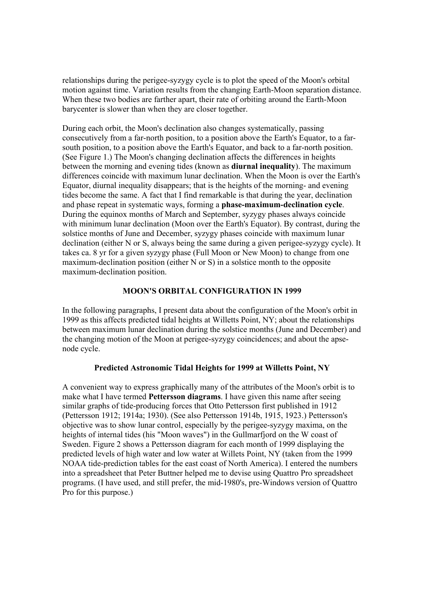relationships during the perigee-syzygy cycle is to plot the speed of the Moon's orbital motion against time. Variation results from the changing Earth-Moon separation distance. When these two bodies are farther apart, their rate of orbiting around the Earth-Moon barycenter is slower than when they are closer together.

During each orbit, the Moon's declination also changes systematically, passing consecutively from a far-north position, to a position above the Earth's Equator, to a farsouth position, to a position above the Earth's Equator, and back to a far-north position. (See Figure 1.) The Moon's changing declination affects the differences in heights between the morning and evening tides (known as **diurnal inequality**). The maximum differences coincide with maximum lunar declination. When the Moon is over the Earth's Equator, diurnal inequality disappears; that is the heights of the morning- and evening tides become the same. A fact that I find remarkable is that during the year, declination and phase repeat in systematic ways, forming a **phase-maximum-declination cycle**. During the equinox months of March and September, syzygy phases always coincide with minimum lunar declination (Moon over the Earth's Equator). By contrast, during the solstice months of June and December, syzygy phases coincide with maximum lunar declination (either N or S, always being the same during a given perigee-syzygy cycle). It takes ca. 8 yr for a given syzygy phase (Full Moon or New Moon) to change from one maximum-declination position (either N or S) in a solstice month to the opposite maximum-declination position.

## **MOON'S ORBITAL CONFIGURATION IN 1999**

In the following paragraphs, I present data about the configuration of the Moon's orbit in 1999 as this affects predicted tidal heights at Willetts Point, NY; about the relationships between maximum lunar declination during the solstice months (June and December) and the changing motion of the Moon at perigee-syzygy coincidences; and about the apsenode cycle.

# **Predicted Astronomic Tidal Heights for 1999 at Willetts Point, NY**

A convenient way to express graphically many of the attributes of the Moon's orbit is to make what I have termed **Pettersson diagrams**. I have given this name after seeing similar graphs of tide-producing forces that Otto Pettersson first published in 1912 (Pettersson 1912; 1914a; 1930). (See also Pettersson 1914b, 1915, 1923.) Pettersson's objective was to show lunar control, especially by the perigee-syzygy maxima, on the heights of internal tides (his "Moon waves") in the Gullmarfjord on the W coast of Sweden. Figure 2 shows a Pettersson diagram for each month of 1999 displaying the predicted levels of high water and low water at Willets Point, NY (taken from the 1999 NOAA tide-prediction tables for the east coast of North America). I entered the numbers into a spreadsheet that Peter Buttner helped me to devise using Quattro Pro spreadsheet programs. (I have used, and still prefer, the mid-1980's, pre-Windows version of Quattro Pro for this purpose.)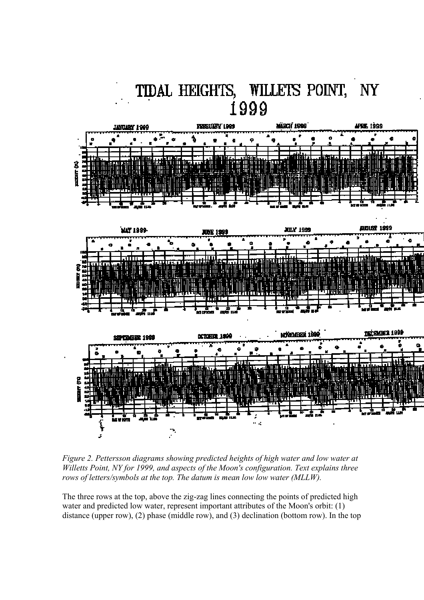

*Figure 2. Pettersson diagrams showing predicted heights of high water and low water at Willetts Point, NY for 1999, and aspects of the Moon's configuration. Text explains three rows of letters/symbols at the top. The datum is mean low low water (MLLW).*

The three rows at the top, above the zig-zag lines connecting the points of predicted high water and predicted low water, represent important attributes of the Moon's orbit: (1) distance (upper row), (2) phase (middle row), and (3) declination (bottom row). In the top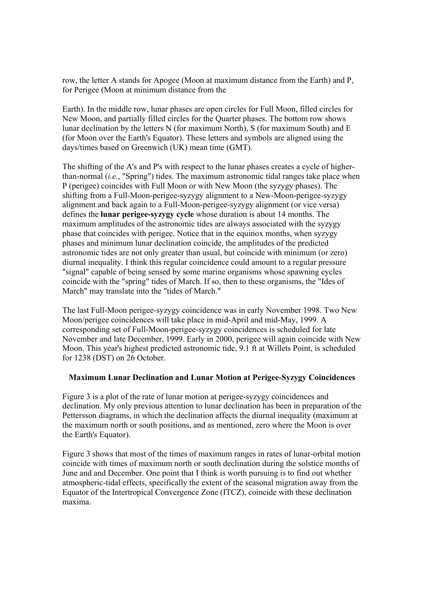row, the letter A stands for Apogee (Moon at maximum distance from the Earth) and P, for Perigee (Moon at minimum distance from the

Earth). In the middle row, lunar phases are open circles for Full Moon, filled circles for New Moon, and partially filled circles for the Quarter phases. The bottom row shows lunar declination by the letters N (for maximum North), S (for maximum South) and E (for Moon over the Earth's Equator). These letters and symbols are aligned using the days/times based on Greenwich (UK) mean time (GMT).

The shifting of the A's and P's with respect to the lunar phases creates a cycle of higherthan-normal (*i.e.*, "Spring") tides. The maximum astronomic tidal ranges take place when P (perigee) coincides with Full Moon or with New Moon (the syzygy phases). The shifting from a Full-Moon-perigee-syzygy alignment to a New-Moon-perigee-syzygy alignment and back again to a Full-Moon-perigee-syzygy alignment (or vice versa) defines the **lunar perigee-syzygy cycle** whose duration is about 14 months. The maximum amplitudes of the astronomic tides are always associated with the syzygy phase that coincides with perigee. Notice that in the equinox months, when syzygy phases and minimum lunar declination coincide, the amplitudes of the predicted astronomic tides are not only greater than usual, but coincide with minimum (or zero) diurnal inequality. I think this regular coincidence could amount to a regular pressure "signal" capable of being sensed by some marine organisms whose spawning cycles coincide with the "spring" tides of March. If so, then to these organisms, the "Ides of March" may translate into the "tides of March."

The last Full-Moon perigee-syzygy coincidence was in early November 1998. Two New Moon/perigee coincidences will take place in mid-April and mid-May, 1999. A corresponding set of Full-Moon-perigee-syzygy coincidences is scheduled for late November and late December, 1999. Early in 2000, perigee will again coincide with New Moon. This year's highest predicted astronomic tide, 9.1 ft at Willets Point, is scheduled for 1238 (DST) on 26 October.

#### **Maximum Lunar Declination and Lunar Motion at Perigee-Syzygy Coincidences**

Figure 3 is a plot of the rate of lunar motion at perigee-syzygy coincidences and declination. My only previous attention to lunar declination has been in preparation of the Pettersson diagrams, in which the declination affects the diurnal inequality (maximum at the maximum north or south positions, and as mentioned, zero where the Moon is over the Earth's Equator).

Figure 3 shows that most of the times of maximum ranges in rates of lunar-orbital motion coincide with times of maximum north or south declination during the solstice months of June and and December. One point that I think is worth pursuing is to find out whether atmospheric-tidal effects, specifically the extent of the seasonal migration away from the Equator of the Intertropical Convergence Zone (ITCZ), coincide with these declination maxima.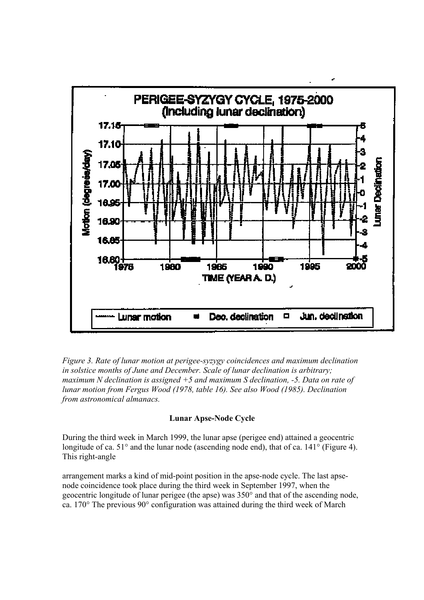

*Figure 3. Rate of lunar motion at perigee-syzygy coincidences and maximum declination in solstice months of June and December. Scale of lunar declination is arbitrary; maximum N declination is assigned +5 and maximum S declination, -5. Data on rate of lunar motion from Fergus Wood (1978, table 16). See also Wood (1985). Declination from astronomical almanacs.*

## **Lunar Apse-Node Cycle**

During the third week in March 1999, the lunar apse (perigee end) attained a geocentric longitude of ca. 51° and the lunar node (ascending node end), that of ca. 141° (Figure 4). This right-angle

arrangement marks a kind of mid-point position in the apse-node cycle. The last apsenode coincidence took place during the third week in September 1997, when the geocentric longitude of lunar perigee (the apse) was 350° and that of the ascending node, ca. 170° The previous 90° configuration was attained during the third week of March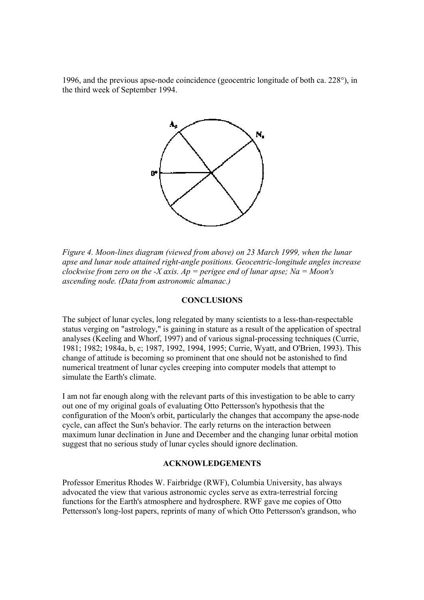1996, and the previous apse-node coincidence (geocentric longitude of both ca. 228°), in the third week of September 1994.



*Figure 4. Moon-lines diagram (viewed from above) on 23 March 1999, when the lunar apse and lunar node attained right-angle positions. Geocentric-longitude angles increase clockwise from zero on the -X axis. Ap = perigee end of lunar apse; Na = Moon's ascending node. (Data from astronomic almanac.)*

## **CONCLUSIONS**

The subject of lunar cycles, long relegated by many scientists to a less-than-respectable status verging on "astrology," is gaining in stature as a result of the application of spectral analyses (Keeling and Whorf, 1997) and of various signal-processing techniques (Currie, 1981; 1982; 1984a, b, c; 1987, 1992, 1994, 1995; Currie, Wyatt, and O'Brien, 1993). This change of attitude is becoming so prominent that one should not be astonished to find numerical treatment of lunar cycles creeping into computer models that attempt to simulate the Earth's climate.

I am not far enough along with the relevant parts of this investigation to be able to carry out one of my original goals of evaluating Otto Pettersson's hypothesis that the configuration of the Moon's orbit, particularly the changes that accompany the apse-node cycle, can affect the Sun's behavior. The early returns on the interaction between maximum lunar declination in June and December and the changing lunar orbital motion suggest that no serious study of lunar cycles should ignore declination.

### **ACKNOWLEDGEMENTS**

Professor Emeritus Rhodes W. Fairbridge (RWF), Columbia University, has always advocated the view that various astronomic cycles serve as extra-terrestrial forcing functions for the Earth's atmosphere and hydrosphere. RWF gave me copies of Otto Pettersson's long-lost papers, reprints of many of which Otto Pettersson's grandson, who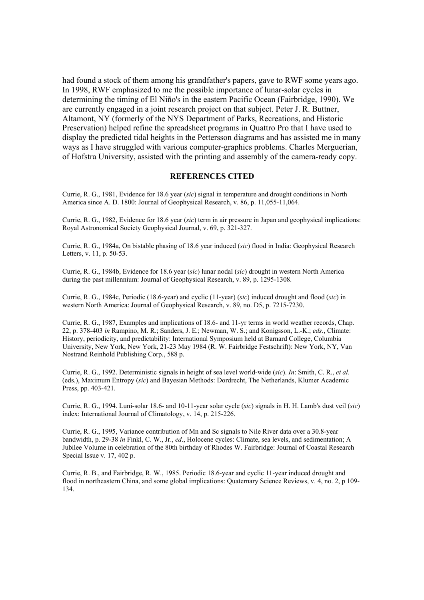had found a stock of them among his grandfather's papers, gave to RWF some years ago. In 1998, RWF emphasized to me the possible importance of lunar-solar cycles in determining the timing of El Niño's in the eastern Pacific Ocean (Fairbridge, 1990). We are currently engaged in a joint research project on that subject. Peter J. R. Buttner, Altamont, NY (formerly of the NYS Department of Parks, Recreations, and Historic Preservation) helped refine the spreadsheet programs in Quattro Pro that I have used to display the predicted tidal heights in the Pettersson diagrams and has assisted me in many ways as I have struggled with various computer-graphics problems. Charles Merguerian, of Hofstra University, assisted with the printing and assembly of the camera-ready copy.

#### **REFERENCES CITED**

Currie, R. G., 1981, Evidence for 18.6 year (*sic*) signal in temperature and drought conditions in North America since A. D. 1800: Journal of Geophysical Research, v. 86, p. 11,055-11,064.

Currie, R. G., 1982, Evidence for 18.6 year (*sic*) term in air pressure in Japan and geophysical implications: Royal Astronomical Society Geophysical Journal, v. 69, p. 321-327.

Currie, R. G., 1984a, On bistable phasing of 18.6 year induced (*sic*) flood in India: Geophysical Research Letters, v. 11, p. 50-53.

Currie, R. G., 1984b, Evidence for 18.6 year (*sic*) lunar nodal (*sic*) drought in western North America during the past millennium: Journal of Geophysical Research, v. 89, p. 1295-1308.

Currie, R. G., 1984c, Periodic (18.6-year) and cyclic (11-year) (*sic*) induced drought and flood (*sic*) in western North America: Journal of Geophysical Research, v. 89, no. D5, p. 7215-7230.

Currie, R. G., 1987, Examples and implications of 18.6- and 11-yr terms in world weather records, Chap. 22, p. 378-403 *in* Rampino, M. R.; Sanders, J. E.; Newman, W. S.; and Konigsson, L.-K.; *eds*., Climate: History, periodicity, and predictability: International Symposium held at Barnard College, Columbia University, New York, New York, 21-23 May 1984 (R. W. Fairbridge Festschrift): New York, NY, Van Nostrand Reinhold Publishing Corp., 588 p.

Currie, R. G., 1992. Deterministic signals in height of sea level world-wide (*sic*). *In*: Smith, C. R., *et al.* (eds.), Maximum Entropy (*sic*) and Bayesian Methods: Dordrecht, The Netherlands, Klumer Academic Press, pp. 403-421.

Currie, R. G., 1994. Luni-solar 18.6- and 10-11-year solar cycle (*sic*) signals in H. H. Lamb's dust veil (*sic*) index: International Journal of Climatology, v. 14, p. 215-226.

Currie, R. G., 1995, Variance contribution of Mn and Sc signals to Nile River data over a 30.8-year bandwidth, p. 29-38 *in* Finkl, C. W., Jr., *ed*., Holocene cycles: Climate, sea levels, and sedimentation; A Jubilee Volume in celebration of the 80th birthday of Rhodes W. Fairbridge: Journal of Coastal Research Special Issue v. 17, 402 p.

Currie, R. B., and Fairbridge, R. W., 1985. Periodic 18.6-year and cyclic 11-year induced drought and flood in northeastern China, and some global implications: Quaternary Science Reviews, v. 4, no. 2, p 109- 134.